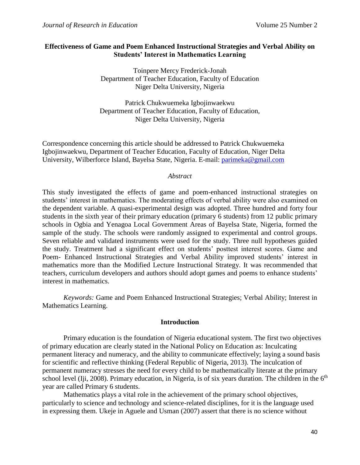# **Effectiveness of Game and Poem Enhanced Instructional Strategies and Verbal Ability on Students' Interest in Mathematics Learning**

Toinpere Mercy Frederick-Jonah Department of Teacher Education, Faculty of Education Niger Delta University, Nigeria

Patrick Chukwuemeka Igbojinwaekwu Department of Teacher Education, Faculty of Education, Niger Delta University, Nigeria

Correspondence concerning this article should be addressed to Patrick Chukwuemeka Igbojinwaekwu, Department of Teacher Education, Faculty of Education, Niger Delta University, Wilberforce Island, Bayelsa State, Nigeria. E-mail: [parimeka@gmail.com](mailto:parimeka@gmail.com)

## *Abstract*

This study investigated the effects of game and poem-enhanced instructional strategies on students' interest in mathematics. The moderating effects of verbal ability were also examined on the dependent variable. A quasi-experimental design was adopted. Three hundred and forty four students in the sixth year of their primary education (primary 6 students) from 12 public primary schools in Ogbia and Yenagoa Local Government Areas of Bayelsa State, Nigeria, formed the sample of the study. The schools were randomly assigned to experimental and control groups. Seven reliable and validated instruments were used for the study. Three null hypotheses guided the study. Treatment had a significant effect on students' posttest interest scores. Game and Poem- Enhanced Instructional Strategies and Verbal Ability improved students' interest in mathematics more than the Modified Lecture Instructional Strategy. It was recommended that teachers, curriculum developers and authors should adopt games and poems to enhance students' interest in mathematics.

*Keywords:* Game and Poem Enhanced Instructional Strategies; Verbal Ability; Interest in Mathematics Learning.

## **Introduction**

Primary education is the foundation of Nigeria educational system. The first two objectives of primary education are clearly stated in the National Policy on Education as: Inculcating permanent literacy and numeracy, and the ability to communicate effectively; laying a sound basis for scientific and reflective thinking (Federal Republic of Nigeria, 2013). The inculcation of permanent numeracy stresses the need for every child to be mathematically literate at the primary school level (Iji, 2008). Primary education, in Nigeria, is of six years duration. The children in the  $6<sup>th</sup>$ year are called Primary 6 students.

Mathematics plays a vital role in the achievement of the primary school objectives, particularly to science and technology and science-related disciplines, for it is the language used in expressing them. Ukeje in Aguele and Usman (2007) assert that there is no science without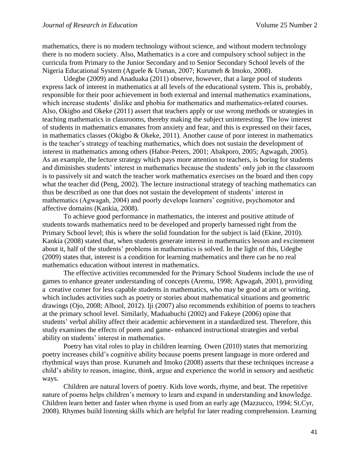mathematics, there is no modern technology without science, and without modern technology there is no modern society. Also, Mathematics is a core and compulsory school subject in the curricula from Primary to the Junior Secondary and to Senior Secondary School levels of the Nigeria Educational System (Aguele & Usman, 2007; Kurumeh & Imoko, 2008).

Udegbe (2009) and Anaduaka (2011) observe, however, that a large pool of students express lack of interest in mathematics at all levels of the educational system. This is, probably, responsible for their poor achievement in both external and internal mathematics examinations, which increase students' dislike and phobia for mathematics and mathematics-related courses. Also, Okigbo and Okeke (2011) assert that teachers apply or use wrong methods or strategies in teaching mathematics in classrooms, thereby making the subject uninteresting. The low interest of students in mathematics emanates from anxiety and fear, and this is expressed on their faces, in mathematics classes (Okigbo & Okeke, 2011). Another cause of poor interest in mathematics is the teacher's strategy of teaching mathematics, which does not sustain the development of interest in mathematics among others (Habor-Peters, 2001; Abakporo, 2005; Agwagah, 2005). As an example, the lecture strategy which pays more attention to teachers, is boring for students and diminishes students' interest in mathematics because the students' only job in the classroom is to passively sit and watch the teacher work mathematics exercises on the board and then copy what the teacher did (Peng, 2002). The lecture instructional strategy of teaching mathematics can thus be described as one that does not sustain the development of students' interest in mathematics (Agwagah, 2004) and poorly develops learners' cognitive, psychomotor and affective domains (Kankia, 2008).

To achieve good performance in mathematics, the interest and positive attitude of students towards mathematics need to be developed and properly harnessed right from the Primary School level; this is where the solid foundation for the subject is laid (Ekine, 2010). Kankia (2008) stated that, when students generate interest in mathematics lesson and excitement about it, half of the students' problems in mathematics is solved. In the light of this, Udegbe (2009) states that, interest is a condition for learning mathematics and there can be no real mathematics education without interest in mathematics.

The effective activities recommended for the Primary School Students include the use of games to enhance greater understanding of concepts (Aremu, 1998; Agwagah, 2001), providing a creative corner for less capable students in mathematics, who may be good at arts or writing, which includes activities such as poetry or stories about mathematical situations and geometric drawings (Ojo, 2008; Albool, 2012). Iji (2007) also recommends exhibition of poems to teachers at the primary school level. Similarly, Maduabuchi (2002) and Fakeye (2006) opine that students' verbal ability affect their academic achievement in a standardized test. Therefore, this study examines the effects of poem and game- enhanced instructional strategies and verbal ability on students' interest in mathematics.

Poetry has vital roles to play in children learning. Owen (2010) states that memorizing poetry increases child's cognitive ability because poems present language in more ordered and rhythmical ways than prose. Kurumeh and Imoko (2008) asserts that these techniques increase a child's ability to reason, imagine, think, argue and experience the world in sensory and aesthetic ways.

Children are natural lovers of poetry. Kids love words, rhyme, and beat. The repetitive nature of poems helps children's memory to learn and expand in understanding and knowledge. Children learn better and faster when rhyme is used from an early age (Mazzucco, 1994; St.Cyr, 2008). Rhymes build listening skills which are helpful for later reading comprehension. Learning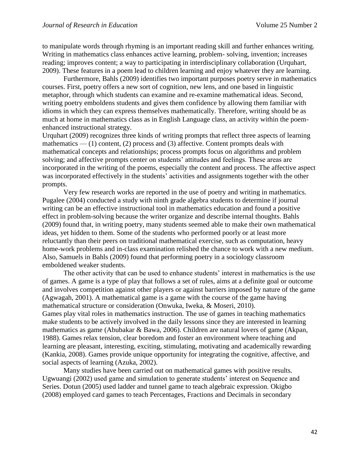to manipulate words through rhyming is an important reading skill and further enhances writing. Writing in mathematics class enhances active learning, problem- solving, invention; increases reading; improves content; a way to participating in interdisciplinary collaboration (Urquhart, 2009). These features in a poem lead to children learning and enjoy whatever they are learning.

Furthermore, Bahls (2009) identifies two important purposes poetry serve in mathematics courses. First, poetry offers a new sort of cognition, new lens, and one based in linguistic metaphor, through which students can examine and re-examine mathematical ideas. Second, writing poetry emboldens students and gives them confidence by allowing them familiar with idioms in which they can express themselves mathematically. Therefore, writing should be as much at home in mathematics class as in English Language class, an activity within the poemenhanced instructional strategy.

Urquhart (2009) recognizes three kinds of writing prompts that reflect three aspects of learning mathematics  $-$  (1) content, (2) process and (3) affective. Content prompts deals with mathematical concepts and relationships; process prompts focus on algorithms and problem solving; and affective prompts center on students' attitudes and feelings. These areas are incorporated in the writing of the poems, especially the content and process. The affective aspect was incorporated effectively in the students' activities and assignments together with the other prompts.

Very few research works are reported in the use of poetry and writing in mathematics. Pugalee (2004) conducted a study with ninth grade algebra students to determine if journal writing can be an effective instructional tool in mathematics education and found a positive effect in problem-solving because the writer organize and describe internal thoughts. Bahls (2009) found that, in writing poetry, many students seemed able to make their own mathematical ideas, yet hidden to them. Some of the students who performed poorly or at least more reluctantly than their peers on traditional mathematical exercise, such as computation, heavy home-work problems and in-class examination relished the chance to work with a new medium. Also, Samuels in Bahls (2009) found that performing poetry in a sociology classroom emboldened weaker students.

The other activity that can be used to enhance students' interest in mathematics is the use of games. A game is a type of play that follows a set of rules, aims at a definite goal or outcome and involves competition against other players or against barriers imposed by nature of the game (Agwagah, 2001). A mathematical game is a game with the course of the game having mathematical structure or consideration (Onwuka, Iweka, & Moseri, 2010). Games play vital roles in mathematics instruction. The use of games in teaching mathematics make students to be actively involved in the daily lessons since they are interested in learning mathematics as game (Abubakar & Bawa, 2006). Children are natural lovers of game (Akpan, 1988). Games relax tension, clear boredom and foster an environment where teaching and learning are pleasant, interesting, exciting, stimulating, motivating and academically rewarding (Kankia, 2008). Games provide unique opportunity for integrating the cognitive, affective, and social aspects of learning (Azuka, 2002).

Many studies have been carried out on mathematical games with positive results. Ugwuangi (2002) used game and simulation to generate students' interest on Sequence and Series. Dotun (2005) used ladder and tunnel game to teach algebraic expression. Okigbo (2008) employed card games to teach Percentages, Fractions and Decimals in secondary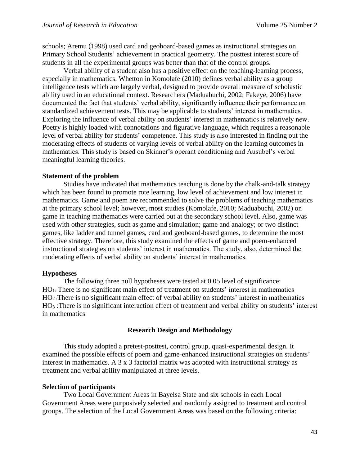schools; Aremu (1998) used card and geoboard-based games as instructional strategies on Primary School Students' achievement in practical geometry. The posttest interest score of students in all the experimental groups was better than that of the control groups.

Verbal ability of a student also has a positive effect on the teaching-learning process, especially in mathematics. Whetton in Komolafe (2010) defines verbal ability as a group intelligence tests which are largely verbal, designed to provide overall measure of scholastic ability used in an educational context. Researchers (Maduabuchi, 2002; Fakeye, 2006) have documented the fact that students' verbal ability, significantly influence their performance on standardized achievement tests. This may be applicable to students' interest in mathematics. Exploring the influence of verbal ability on students' interest in mathematics is relatively new. Poetry is highly loaded with connotations and figurative language, which requires a reasonable level of verbal ability for students' competence. This study is also interested in finding out the moderating effects of students of varying levels of verbal ability on the learning outcomes in mathematics. This study is based on Skinner's operant conditioning and Ausubel's verbal meaningful learning theories.

### **Statement of the problem**

Studies have indicated that mathematics teaching is done by the chalk-and-talk strategy which has been found to promote rote learning, low level of achievement and low interest in mathematics. Game and poem are recommended to solve the problems of teaching mathematics at the primary school level; however, most studies (Komolafe, 2010; Maduabuchi, 2002) on game in teaching mathematics were carried out at the secondary school level. Also, game was used with other strategies, such as game and simulation; game and analogy; or two distinct games, like ladder and tunnel games, card and geoboard-based games, to determine the most effective strategy. Therefore, this study examined the effects of game and poem-enhanced instructional strategies on students' interest in mathematics. The study, also, determined the moderating effects of verbal ability on students' interest in mathematics.

#### **Hypotheses**

The following three null hypotheses were tested at 0.05 level of significance: HO1: There is no significant main effect of treatment on students' interest in mathematics HO2 :There is no significant main effect of verbal ability on students' interest in mathematics HO<sup>3</sup> :There is no significant interaction effect of treatment and verbal ability on students' interest in mathematics

## **Research Design and Methodology**

This study adopted a pretest-posttest, control group, quasi-experimental design. It examined the possible effects of poem and game-enhanced instructional strategies on students' interest in mathematics. A 3 x 3 factorial matrix was adopted with instructional strategy as treatment and verbal ability manipulated at three levels.

### **Selection of participants**

Two Local Government Areas in Bayelsa State and six schools in each Local Government Areas were purposively selected and randomly assigned to treatment and control groups. The selection of the Local Government Areas was based on the following criteria: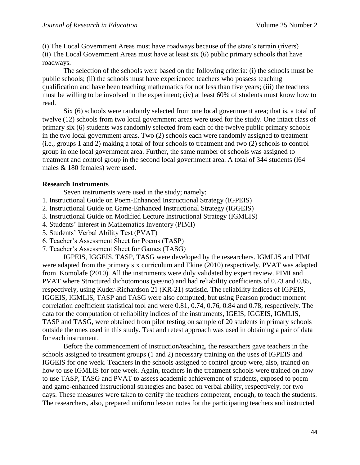(i) The Local Government Areas must have roadways because of the state's terrain (rivers) (ii) The Local Government Areas must have at least six (6) public primary schools that have roadways.

The selection of the schools were based on the following criteria: (i) the schools must be public schools; (ii) the schools must have experienced teachers who possess teaching qualification and have been teaching mathematics for not less than five years; (iii) the teachers must be willing to be involved in the experiment; (iv) at least 60% of students must know how to read.

Six (6) schools were randomly selected from one local government area; that is, a total of twelve (12) schools from two local government areas were used for the study. One intact class of primary six (6) students was randomly selected from each of the twelve public primary schools in the two local government areas. Two (2) schools each were randomly assigned to treatment (i.e., groups 1 and 2) making a total of four schools to treatment and two (2) schools to control group in one local government area. Further, the same number of schools was assigned to treatment and control group in the second local government area. A total of 344 students (l64 males & 180 females) were used.

## **Research Instruments**

Seven instruments were used in the study; namely:

- 1. Instructional Guide on Poem-Enhanced Instructional Strategy (IGPEIS)
- 2. Instructional Guide on Game-Enhanced Instructional Strategy (IGGEIS)
- 3. Instructional Guide on Modified Lecture Instructional Strategy (IGMLIS)
- 4. Students' Interest in Mathematics Inventory (PIMI)
- 5. Students' Verbal Ability Test (PVAT)
- 6. Teacher's Assessment Sheet for Poems (TASP)
- 7. Teacher's Assessment Sheet for Games (TASG)

IGPEIS, IGGEIS, TASP, TASG were developed by the researchers. IGMLIS and PIMI were adapted from the primary six curriculum and Ekine (2010) respectively. PVAT was adapted from Komolafe (2010). All the instruments were duly validated by expert review. PIMI and PVAT where Structured dichotomous (yes/no) and had reliability coefficients of 0.73 and 0.85, respectively, using Kuder-Richardson 21 (KR-21) statistic. The reliability indices of IGPEIS, IGGEIS, IGMLIS, TASP and TASG were also computed, but using Pearson product moment correlation coefficient statistical tool and were 0.81, 0.74, 0.76, 0.84 and 0.78, respectively. The data for the computation of reliability indices of the instruments, IGEIS, IGGEIS, IGMLIS, TASP and TASG, were obtained from pilot testing on sample of 20 students in primary schools outside the ones used in this study. Test and retest approach was used in obtaining a pair of data for each instrument.

Before the commencement of instruction/teaching, the researchers gave teachers in the schools assigned to treatment groups (1 and 2) necessary training on the uses of IGPEIS and IGGEIS for one week. Teachers in the schools assigned to control group were, also, trained on how to use IGMLIS for one week. Again, teachers in the treatment schools were trained on how to use TASP, TASG and PVAT to assess academic achievement of students, exposed to poem and game-enhanced instructional strategies and based on verbal ability, respectively, for two days. These measures were taken to certify the teachers competent, enough, to teach the students. The researchers, also, prepared uniform lesson notes for the participating teachers and instructed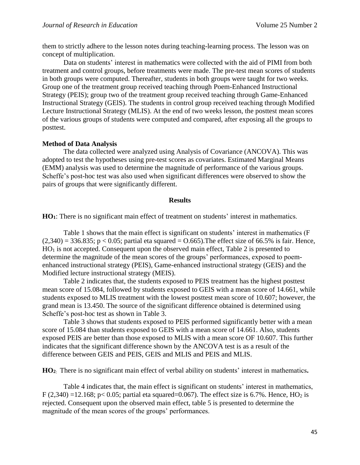them to strictly adhere to the lesson notes during teaching-learning process. The lesson was on concept of multiplication.

Data on students' interest in mathematics were collected with the aid of PIMI from both treatment and control groups, before treatments were made. The pre-test mean scores of students in both groups were computed. Thereafter, students in both groups were taught for two weeks. Group one of the treatment group received teaching through Poem-Enhanced Instructional Strategy (PEIS); group two of the treatment group received teaching through Game-Enhanced Instructional Strategy (GElS). The students in control group received teaching through Modified Lecture Instructional Strategy (MLIS). At the end of two weeks lesson, the posttest mean scores of the various groups of students were computed and compared, after exposing all the groups to posttest.

## **Method of Data Analysis**

The data collected were analyzed using Analysis of Covariance (ANCOVA). This was adopted to test the hypotheses using pre-test scores as covariates. Estimated Marginal Means (EMM) analysis was used to determine the magnitude of performance of the various groups. Scheffe's post-hoc test was also used when significant differences were observed to show the pairs of groups that were significantly different.

## **Results**

**HO1**: There is no significant main effect of treatment on students' interest in mathematics.

Table 1 shows that the main effect is significant on students' interest in mathematics (F  $(2,340) = 336.835$ ; p < 0.05; partial eta squared = 0.665). The effect size of 66.5% is fair. Hence,  $HO<sub>1</sub>$  is not accepted. Consequent upon the observed main effect, Table 2 is presented to determine the magnitude of the mean scores of the groups' performances, exposed to poemenhanced instructional strategy (PEIS), Game-enhanced instructional strategy (GEIS) and the Modified lecture instructional strategy (MEIS).

Table 2 indicates that, the students exposed to PEIS treatment has the highest posttest mean score of 15.084, followed by students exposed to GElS with a mean score of 14.661, while students exposed to MLIS treatment with the lowest posttest mean score of 10.607; however, the grand mean is 13.450. The source of the significant difference obtained is determined using Scheffe's post-hoc test as shown in Table 3.

Table 3 shows that students exposed to PEIS performed significantly better with a mean score of 15.084 than students exposed to GEIS with a mean score of 14.661. Also, students exposed PEIS are better than those exposed to MLIS with a mean score OF 10.607. This further indicates that the significant difference shown by the ANCOVA test is as a result of the difference between GEIS and PEIS, GEIS and MLIS and PEIS and MLIS.

**HO<sup>2</sup>**: There is no significant main effect of verbal ability on students' interest in mathematics**.**

Table 4 indicates that, the main effect is significant on students' interest in mathematics, F  $(2,340)$  =12.168; p< 0.05; partial eta squared=0.067). The effect size is 6.7%. Hence, HO<sub>2</sub> is rejected. Consequent upon the observed main effect, table 5 is presented to determine the magnitude of the mean scores of the groups' performances.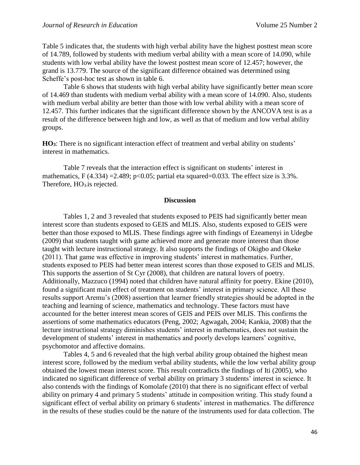Table 5 indicates that, the students with high verbal ability have the highest posttest mean score of 14.789, followed by students with medium verbal ability with a mean score of 14.090, while students with low verbal ability have the lowest posttest mean score of 12.457; however, the grand is 13.779. The source of the significant difference obtained was determined using Scheffe's post-hoc test as shown in table 6.

Table 6 shows that students with high verbal ability have significantly better mean score of 14.469 than students with medium verbal ability with a mean score of 14.090. Also, students with medium verbal ability are better than those with low verbal ability with a mean score of 12.457. This further indicates that the significant difference shown by the ANCOVA test is as a result of the difference between high and low, as well as that of medium and low verbal ability groups.

**HO3**: There is no significant interaction effect of treatment and verbal ability on students' interest in mathematics.

Table 7 reveals that the interaction effect is significant on students' interest in mathematics, F  $(4.334) = 2.489$ ; p<0.05; partial eta squared=0.033. The effect size is 3.3%. Therefore, HO<sub>3</sub> is rejected.

### **Discussion**

Tables 1, 2 and 3 revealed that students exposed to PEIS had significantly better mean interest score than students exposed to GEIS and MLIS. Also, students exposed to GEIS were better than those exposed to MLIS. These findings agree with findings of Ezeamenyi in Udegbe (2009) that students taught with game achieved more and generate more interest than those taught with lecture instructional strategy. It also supports the findings of Okigbo and Okeke (2011). That game was effective in improving students' interest in mathematics. Further, students exposed to PEIS had better mean interest scores than those exposed to GElS and MLIS. This supports the assertion of St Cyr (2008), that children are natural lovers of poetry. Additionally, Mazzuco (1994) noted that children have natural affinity for poetry. Ekine (2010), found a significant main effect of treatment on students' interest in primary science. All these results support Aremu's (2008) assertion that learner friendly strategies should be adopted in the teaching and learning of science, mathematics and technology. These factors must have accounted for the better interest mean scores of GElS and PEIS over MLIS. This confirms the assertions of some mathematics educators (Peng, 2002; Agwagah, 2004; Kankia, 2008) that the lecture instructional strategy diminishes students' interest in mathematics, does not sustain the development of students' interest in mathematics and poorly develops learners' cognitive, psychomotor and affective domains.

Tables 4, 5 and 6 revealed that the high verbal ability group obtained the highest mean interest score, followed by the medium verbal ability students, while the low verbal ability group obtained the lowest mean interest score. This result contradicts the findings of Iti (2005), who indicated no significant difference of verbal ability on primary 3 students' interest in science. It also contends with the findings of Komolafe (2010) that there is no significant effect of verbal ability on primary 4 and primary 5 students' attitude in composition writing. This study found a significant effect of verbal ability on primary 6 students' interest in mathematics. The difference in the results of these studies could be the nature of the instruments used for data collection. The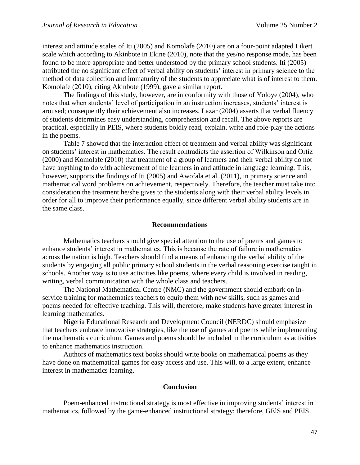interest and attitude scales of Iti (2005) and Komolafe (2010) are on a four-point adapted Likert scale which according to Akinbote in Ekine (2010), note that the yes/no response mode, has been found to be more appropriate and better understood by the primary school students. Iti (2005) attributed the no significant effect of verbal ability on students' interest in primary science to the method of data collection and immaturity of the students to appreciate what is of interest to them. Komolafe (2010), citing Akinbote (1999), gave a similar report.

The findings of this study, however, are in conformity with those of Yoloye (2004), who notes that when students' level of participation in an instruction increases, students' interest is aroused; consequently their achievement also increases. Lazar (2004) asserts that verbal fluency of students determines easy understanding, comprehension and recall. The above reports are practical, especially in PEIS, where students boldly read, explain, write and role-play the actions in the poems.

Table 7 showed that the interaction effect of treatment and verbal ability was significant on students' interest in mathematics. The result contradicts the assertion of Wilkinson and Ortiz (2000) and Komolafe (2010) that treatment of a group of learners and their verbal ability do not have anything to do with achievement of the learners in and attitude in language learning. This, however, supports the findings of Iti (2005) and Awofala et al. (2011), in primary science and mathematical word problems on achievement, respectively. Therefore, the teacher must take into consideration the treatment he/she gives to the students along with their verbal ability levels in order for all to improve their performance equally, since different verbal ability students are in the same class.

### **Recommendations**

Mathematics teachers should give special attention to the use of poems and games to enhance students' interest in mathematics. This is because the rate of failure in mathematics across the nation is high. Teachers should find a means of enhancing the verbal ability of the students by engaging all public primary school students in the verbal reasoning exercise taught in schools. Another way is to use activities like poems, where every child is involved in reading, writing, verbal communication with the whole class and teachers.

The National Mathematical Centre (NMC) and the government should embark on inservice training for mathematics teachers to equip them with new skills, such as games and poems needed for effective teaching. This will, therefore, make students have greater interest in learning mathematics.

Nigeria Educational Research and Development Council (NERDC) should emphasize that teachers embrace innovative strategies, like the use of games and poems while implementing the mathematics curriculum. Games and poems should be included in the curriculum as activities to enhance mathematics instruction.

Authors of mathematics text books should write books on mathematical poems as they have done on mathematical games for easy access and use. This will, to a large extent, enhance interest in mathematics learning.

### **Conclusion**

Poem-enhanced instructional strategy is most effective in improving students' interest in mathematics, followed by the game-enhanced instructional strategy; therefore, GElS and PEIS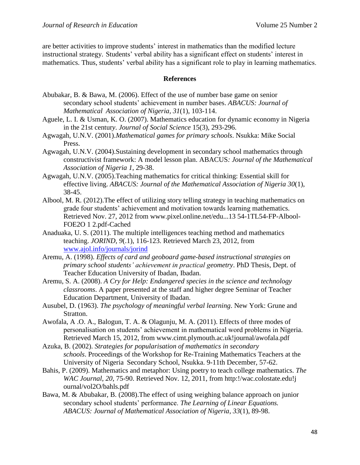are better activities to improve students' interest in mathematics than the modified lecture instructional strategy. Students' verbal ability has a significant effect on students' interest in mathematics. Thus, students' verbal ability has a significant role to play in learning mathematics.

# **References**

- Abubakar, B. & Bawa, M. (2006). Effect of the use of number base game on senior secondary school students' achievement in number bases. *ABACUS: Journal of Mathematical Association of Nigeria, 31*(1), 103-114.
- Aguele, L. I. & Usman, K. O. (2007). Mathematics education for dynamic economy in Nigeria in the 21st centur*y*. *Journal of Social Science* 15(3), 293-296.
- Agwagah, U.N.V. (2001).*Mathematical games for primary schools*. Nsukka: Mike Social Press.
- Agwagah, U.N.V. (2004).Sustaining development in secondary school mathematics through constructivist framework: A model lesson plan. ABACUS*: Journal of the Mathematical Association of Nigeria 1*, 29-38.
- Agwagah, U.N.V. (2005).Teaching mathematics for critical thinking: Essential skill for effective living. *ABACUS: Journal of the Mathematical Association of Nigeria 30*(1), 38-45.
- Albool, M. R. (2012).The effect of utilizing story telling strategy in teaching mathematics on grade four students' achievement and motivation towards learning mathematics. Retrieved Nov. 27, 2012 from www.pixel.online.net/edu...13 54-1TL54-FP-Albool-FOE2O 1 2.pdf-Cached
- Anaduaka, U. S. (2011). The multiple intelligences teaching method and mathematics teaching. *JORIND*, *9*(.1), 116-123. Retrieved March 23, 2012, from [www.ajol.info/journals/jorind](http://www.ajol.info/journals/jorind)
- Aremu, A. (1998). *Effects of card and geoboard game-based instructional strategies on primary school students' achievement in practical geometry*. PhD Thesis, Dept. of Teacher Education University of Ibadan, Ibadan.
- Aremu, S. A. (2008). *A Cry for Help: Endangered species in the science and technology classrooms*. A paper presented at the staff and higher degree Seminar of Teacher Education Department, University of Ibadan.
- Ausubel, D. (1963). *The psychology of meaningful verbal learning*. New York: Grune and Stratton.
- Awofala, A .O. A., Balogun, T. A. & Olagunju, M. A. (2011). Effects of three modes of personalisation on students' achievement in mathematical word problems in Nigeria. Retrieved March 15, 2012, from www.cimt.plymouth.ac.uk!journal/awofala.pdf
- Azuka, B. (2002). *Strategies for popularisation of mathematics in secondary schools*. Proceedings of the Workshop for Re-Training Mathematics Teachers at the University of Nigeria Secondary School, Nsukka. 9-11th December, 57-62.
- Bahis, P. (2009). Mathematics and metaphor: Using poetry to teach college mathematics. *The WAC Journal*, *20*, 75-90. Retrieved Nov. 12, 2011, from http:!/wac.colostate.edu!j ournal/vol2O/bahls.pdf
- Bawa, M. & Abubakar, B. (2008).The effect of using weighing balance approach on junior secondary school students' performance. *The Learning of Linear Equations. ABACUS: Journal of Mathematical Association of Nigeria*, *33*(1), 89-98.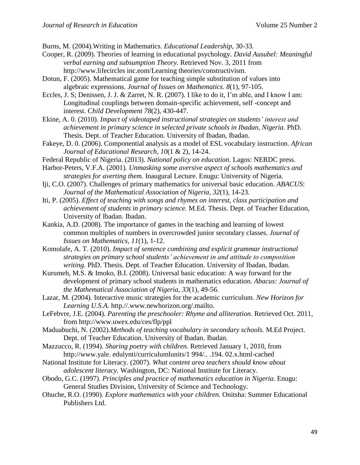Burns, M. (2004).Writing in Mathematics. *Educational Leadership,* 30-33.

- Cooper, R. (2009). Theories of learning in educational psychology. *David Ausubel: Meaningful verbal earning and subsumption Theory.* Retrieved Nov. 3, 2011 from http://www.lifecircles inc.eom/Learning theories/constructivism.
- Dotun, F. (2005). Mathematical game for teaching simple substitution of values into algebraic expressions. *Journal of Issues on Mathematics*. *8*(1), 97-105.
- Eccles, J. S; Denissen, J. J. & Zarret, N. R. (2007). I like to do it, I'm able, and I know I am: Longitudinal couplings between domain-specific achievement, self -concept and interest. C*hild Development 78*(2), 430-447.
- Ekine, A. 0. (2010). *Impact of videotaped instructional strategies on students' interest and achievement in primary science in selected private schools in Ibadan, Nigeria.* PhD. Thesis. Dept. of Teacher Education. University of Ibadan, Ibadan.
- Fakeye, D. 0. (2006). Componential analysis as a model of ESL vocabulary instruction. *African Journal of Educational Research, 10*(1 & 2), 14-24.
- Federal Republic of Nigeria. (2013). *National policy on education*. Lagos: NERDC press.
- Harbor-Peters, V.F.A. (2001). *Unmasking some aversive aspect of schools mathematics and strategies for averting them.* Inaugural Lecture. Enugu: University of Nigeria.
- Iji, C.O. (2007). Challenges of primary mathematics for universal basic education. *ABACUS*: *Journal of the Mathematical Association of Nigeria, 32*(1), 14-23.
- Iti, P. (2005). *Effect of teaching with songs and rhymes on interest, class participation and achievement of students in primary science.* M.Ed. Thesis. Dept. of Teacher Education, University of Ibadan. Ibadan.
- Kankia, A.D. (2008). The importance of games in the teaching and learning of lowest common multiples of numbers in overcrowded junior secondary classes. *Journal of Issues on Mathematics, 11*(1), 1-12.
- Komolafe, A. T. (2010). *Impact of sentence combining and explicit grammar instructional strategies on primary school students' achievement in and attitude to composition writing.* PhD. Thesis. Dept. of Teacher Education. University of Ibadan, Ibadan.
- Kurumeh, M.S. & Imoko, B.I. (2008). Universal basic education: A way forward for the development of primary school students in mathematics education. *Abacus: Journal of the Mathematical Association of Nigeria*, *33*(1), 49-56.
- Lazar, M. (2004). Interactive music strategies for the academic curriculum. *New Horizon for Learning U.S.A.* http.//.www.newhorizon.org/.mailto.
- LeFebvre, J.E. (2004). *Parenting the preschooler: Rhyme and alliteration.* Retrieved Oct. 2011, from http://www.uwex.edu/ces/flp/ppl
- Maduabuchi, N. (2002).*Methods of teaching vocabulary in secondary schools.* M.Ed Project. Dept. of Teacher Education. University of Ibadan. Ibadan.
- Mazzucco, R. (1994). *Sharing poetry with children*. Retrieved January 1, 2010, from http://www.yale. edulynti/curriculumlunits/1 994/.. .194. 02.x.html-cached
- National Institute for Literacy. (2007). *What content area teachers should know about adolescent literacy.* Washington, DC: National Institute for Literacy.
- Obodo, G.C. (1997). *Principles and practice of mathematics education in Nigeria.* Enugu: General Studies Division, University of Science and Technology.
- Ohuche, R.O. (1990). *Explore mathematics with your children.* Onitsha: Summer Educational Publishers Ltd.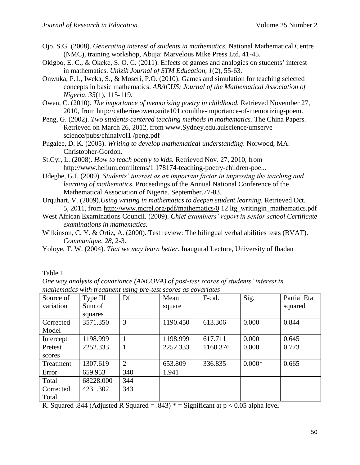- Ojo, S.G. (2008). *Generating interest of students in mathematics*. National Mathematical Centre (NMC), training workshop, Abuja: Marvelous Mike Press Ltd. 41-45.
- Okigbo, E. C., & Okeke, S. O. C. (2011). Effects of games and analogies on students' interest in mathematics. *Unizik Journal of STM Education, 1*(2), 55-63.
- Onwuka, P.1., Iweka, S., & Moseri, P.O. (2010). Games and simulation for teaching selected concepts in basic mathematics. *ABACUS: Journal of the Mathematical Association of Nigeria, 35*(1), 115-119.
- Owen, C. (2010). *The importance of memorizing poetry in childhood.* Retrieved November 27, 2010, from http://catherineowen.suite101.comlthe-importance-of-memorizing-poem.
- Peng, G. (2002). *Two students-centered teaching methods in mathematics.* The China Papers. Retrieved on March 26, 2012, from www.Sydney.edu.aulscience/umserve science/pubs/chinalvol1 /peng.pdf
- Pugalee, D. K. (2005). *Writing to develop mathematical understanding*. Norwood, MA: Christopher-Gordon.
- St.Cyr, L. (2008). *How to teach poetry to kids.* Retrieved Nov. 27, 2010, from http://www.helium.comlitems/1 178174-teaching-poetry-children-poe...
- Udegbe, G.I. (2009). *Students' interest as an important factor in improving the teaching and learning of mathematics.* Proceedings of the Annual National Conference of the Mathematical Association of Nigeria. September.77-83.
- Urquhart, V. (2009).*Using writing in mathematics to deepen student learning.* Retrieved Oct. 5, 2011, from <http://www.mcrel.org/pdf/mathematics/0> 12 ltg\_writingjn\_mathematics.pdf
- West African Examinations Council. (2009). *Chief examiners' report in senior school Certificate examinations in mathematics.*
- Wilkinson, C. Y. & Ortiz, A. (2000). Test review: The bilingual verbal abilities tests (BVAT). *Communique*, *28*, 2-3.
- Yoloye, T. W. (2004). *That we may learn better.* Inaugural Lecture, University of Ibadan

Table 1

*One way analysis of covariance (ANCOVA) of post-test scores of students' interest in mathematics with treatment using pre-test scores as covariates*

| Source of | Type III  | Df  | Mean     | F-cal.   | Sig.     | Partial Eta |
|-----------|-----------|-----|----------|----------|----------|-------------|
| variation | Sum of    |     | square   |          |          | squared     |
|           | squares   |     |          |          |          |             |
| Corrected | 3571.350  | 3   | 1190.450 | 613.306  | 0.000    | 0.844       |
| Model     |           |     |          |          |          |             |
| Intercept | 1198.999  |     | 1198.999 | 617.711  | 0.000    | 0.645       |
| Pretest   | 2252.333  |     | 2252.333 | 1160.376 | 0.000    | 0.773       |
| scores    |           |     |          |          |          |             |
| Treatment | 1307.619  | 2   | 653.809  | 336.835  | $0.000*$ | 0.665       |
| Error     | 659.953   | 340 | 1.941    |          |          |             |
| Total     | 68228.000 | 344 |          |          |          |             |
| Corrected | 4231.302  | 343 |          |          |          |             |
| Total     |           |     |          |          |          |             |

R. Squared .844 (Adjusted R Squared = .843)  $* =$  Significant at p < 0.05 alpha level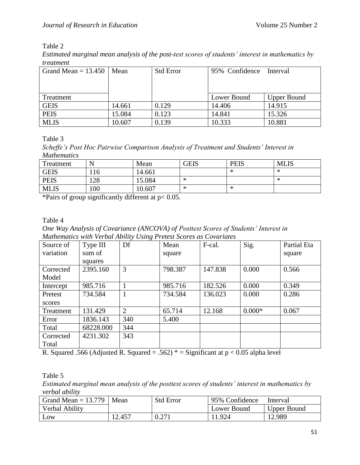# Table 2

*Estimated marginal mean analysis of the post-test scores of students' interest in mathematics by treatment*

| Grand Mean = $13.450$ | Mean   | <b>Std Error</b> | 95% Confidence | Interval           |
|-----------------------|--------|------------------|----------------|--------------------|
|                       |        |                  |                |                    |
|                       |        |                  |                |                    |
| Treatment             |        |                  | Lower Bound    | <b>Upper Bound</b> |
| <b>GEIS</b>           | 14.661 | 0.129            | 14.406         | 14.915             |
| <b>PEIS</b>           | 15.084 | 0.123            | 14.841         | 15.326             |
| <b>MLIS</b>           | 10.607 | 0.139            | 10.333         | 10.881             |

Table 3

*Scheffe's Post Hoc Pairwise Comparison Analysis of Treatment and Students' Interest in Mathematics*

| Treatment   |     | Mean   | <b>GEIS</b> | <b>PEIS</b> | <b>MLIS</b> |
|-------------|-----|--------|-------------|-------------|-------------|
| <b>GEIS</b> | 116 | 14.661 |             | - Ma        | ∗           |
| <b>PEIS</b> | 128 | 15.084 | ∗           |             | ∗           |
| <b>MLIS</b> | 100 | 10.607 | ∗           | ∗           |             |

\*Pairs of group significantly different at p< 0.05.

Table 4

*One Way Analysis of Covariance (ANCOVA) of Posttest Scores of Students' Interest in Mathematics with Verbal Ability Using Pretest Scores as Covariates*

| Source of | Type III  | $\cup$<br>Df   | Mean    | F-cal.  | Sig.     | Partial Eta |
|-----------|-----------|----------------|---------|---------|----------|-------------|
| variation | sum of    |                | square  |         |          | square      |
|           | squares   |                |         |         |          |             |
| Corrected | 2395.160  | 3              | 798.387 | 147.838 | 0.000    | 0.566       |
| Model     |           |                |         |         |          |             |
| Intercept | 985.716   |                | 985.716 | 182.526 | 0.000    | 0.349       |
| Pretest   | 734.584   |                | 734.584 | 136.023 | 0.000    | 0.286       |
| scores    |           |                |         |         |          |             |
| Treatment | 131.429   | $\overline{2}$ | 65.714  | 12.168  | $0.000*$ | 0.067       |
| Error     | 1836.143  | 340            | 5.400   |         |          |             |
| Total     | 68228.000 | 344            |         |         |          |             |
| Corrected | 4231.302  | 343            |         |         |          |             |
| Total     |           |                |         |         |          |             |

R. Squared .566 (Adjusted R. Squared = .562)  $*$  = Significant at p < 0.05 alpha level

Table 5

*Estimated marginal mean analysis of the posttest scores of students' interest in mathematics by verbal ability*

| Grand Mean $= 13.779$ | Mean   | <b>Std Error</b> | 95% Confidence | Interval           |  |
|-----------------------|--------|------------------|----------------|--------------------|--|
| Verbal Ability        |        |                  | Lower Bound    | <b>Upper Bound</b> |  |
| LOW                   | 12.457 | 0.271            | 11.924         | 12.989             |  |